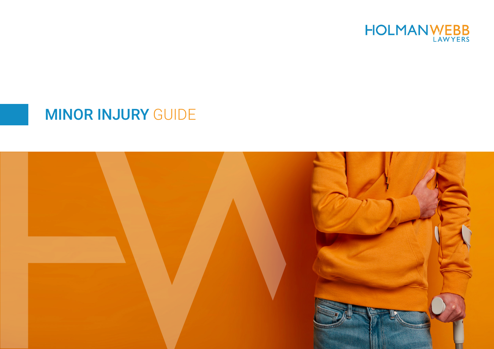

# MINOR INJURY GUIDE

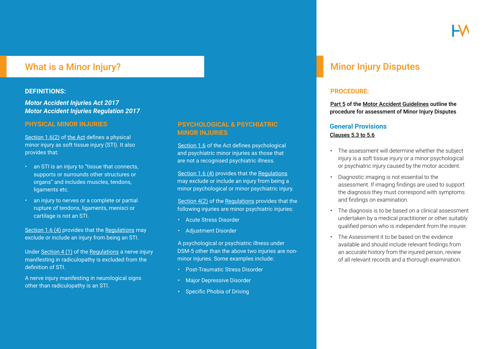## What is a Minor Injury?

#### **DEFINITIONS:**

*[Motor Accident Injuries Act 2017](https://legislation.nsw.gov.au/view/html/inforce/current/act-2017-010) [Motor Accident Injuries Regulation 2017](https://legislation.nsw.gov.au/view/html/inforce/current/sl-2017-0498)*

#### **PHYSICAL MINOR INJURIES**

[Section 1.6\(2\) o](https://legislation.nsw.gov.au/view/html/inforce/current/act-2017-010#sec.1.6)f the Act defines a physical minor injury as soft tissue injury (STI). It also provides that:

- an STI is an injury to "tissue that connects, supports or surrounds other structures or organs" and includes muscles, tendons, ligaments etc.
- an injury to nerves or a complete or partial rupture of tendons, ligaments, menisci or cartilage is not an STI.

Section 1.6 (4) provides that the Regulations may exclude or include an injury from being an STI.

Under [Section 4 \(1\)](https://legislation.nsw.gov.au/view/html/inforce/current/sl-2017-0498#sec.4) of the Regulations a nerve injury manifesting in radiculopathy is excluded from the definition of STI.

A nerve injury manifesting in neurological signs other than radiculopathy is an STI.

#### **PSYCHOLOGICAL & PSYCHIATRIC MINOR INJURIES**

[Section 1.6](https://legislation.nsw.gov.au/view/html/inforce/current/act-2017-010#sec.1.6) of the Act defines psychological and psychiatric minor injuries as those that are not a recognised psychiatric illness.

[Section 1.6 \(4\)](https://legislation.nsw.gov.au/view/html/inforce/current/act-2017-010#sec.1.6) provides that the Regulations may exclude or include an injury from being a minor psychological or minor psychiatric injury.

[Section 4\(2\) o](https://legislation.nsw.gov.au/view/html/inforce/current/sl-2017-0498#sec.4)f the Regulations provides that the following injuries are minor psychiatric injuries:

- Acute Stress Disorder
- Adjustment Disorder

A psychological or psychiatric illness under DSM-5 other than the above two injuries are nonminor injuries. Some examples include:

- Post-Traumatic Stress Disorder
- Major Depressive Disorder
- Specific Phobia of Driving

# Minor Injury Disputes

#### **PROCEDURE:**

Part 5 of the [Motor Accident Guidelines](https://www.sira.nsw.gov.au/resources-library/motor-accident-resources/publications/for-professionals/motor-accident-guidelines) outline the procedure for assessment of Minor Injury Disputes

#### **General Provisions** Clauses 5.3 to 5.6

- The assessment will determine whether the subject injury is a soft tissue injury or a minor psychological or psychiatric injury caused by the motor accident.
- Diagnostic imaging is not essential to the assessment. If imaging findings are used to support the diagnosis they must correspond with symptoms and findings on examination.
- The diagnosis is to be based on a clinical assessment undertaken by a medical practitioner or other suitably qualified person who is independent from the insurer.
- The Assessment it to be based on the evidence available and should include relevant findings from an accurate history from the injured person, review of all relevant records and a thorough examination.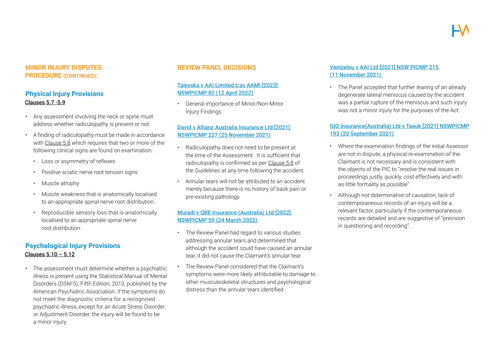#### **MINOR INJURY DISPUTES PROCEDURE (CONTINUES):**

#### **Physical Injury Provisions** Clauses 5.7 -5.9

- Any assessment involving the neck or spine must address whether radiculopathy is present or not.
- A finding of radiculopathy must be made in accordance with Clause 5.8 which requires that two or more of the following clinical signs are found on examination:
	- • Loss or asymmetry of reflexes
	- Positive sciatic nerve root tension signs
	- Muscle atrophy
	- Muscle weakness that is anatomically localised to an appropriate spinal nerve root distribution.
	- Reproducible sensory loss that is anatomically localised to an appropriate spinal nerve root distribution.

### **Psychological Injury Provisions** Clauses 5.10 – 5.12

• The assessment must determine whether a psychiatric illness is present using the Statistical Manual of Mental Disorders (DSM-5), Fifth Edition, 2013, published by the American Psychiatric Association. If the symptoms do not meet the diagnostic criteria for a recognised psychiatric illness, except for an Acute Stress Disorder or Adjustment Disorder, the injury will be found to be a minor injury.

#### **REVIEW PANEL DECISIONS**

#### [Talevska v AAI Limited t/as AAMI \[2022\]](https://www.holmanwebb.com.au/blog/676/general-importance-of-minornon-minor-injury-findings-the-key-and-the-gateway-talevska-v-aai-limited-tas-aami-2022-nswpicmp-82)  NSWPICMP 82 (12 April 2022)

• General importance of Minor/Non-Minor Injury Findings.

#### [David v Allianz Australia Insurance Ltd \[2021\]](https://www.holmanwebb.com.au/blog/674/case-note-david-v-allianz-australia-insurance-ltd-2021-nswpicmp-227)  NSWPICMP 227 (25 November 2021)

- Radiculopathy does not need to be present at the time of the Assessment. It is sufficient that radiculopathy is confirmed as per Clause 5.8 of the Guidelines at any time following the accident.
- Annular tears will not be attributed to an accident merely because there is no history of back pain or pre-existing pathology.

#### [Muradi v QBE Insurance \(Australia\) Ltd \[2022\]](https://www.holmanwebb.com.au/blog/677/case-note-muradi-v-qbe-insurance-australia-ltd-2022-nswpicmp-59)  NSWPICMP 59 (24 March 2022)

- The Review Panel had regard to various studies addressing annular tears and determined that although the accident could have caused an annular tear, it did not cause the Claimant's annular tear.
- The Review Panel considered that the Claimant's symptoms were more likely attributable to damage to other musculoskeletal structures and psychological distress than the annular tears identified.

#### [Venizelou v AAI Ltd \[2021\] NSW PICMP 215](https://www.holmanwebb.com.au/blog/678/case-note-venizelou-v-aai-ltd-2021-nswpicmp-215)  (11 November 2021)

• The Panel accepted that further tearing of an already degenerate lateral meniscus caused by the accident was a partial rupture of the meniscus and such injury was not a minor injury for the purposes of the Act.

#### [GIO Insurance\(Australia\) Ltd v Taouk \[2021\] NSWPICMP](https://www.holmanwebb.com.au/blog/679/case-note-gio-insurance-australia-ltd-v-taouk-2021-nswpicmp-193)  193 (20 September 2021)

- • Where the examination findings of the initial Assessor are not in dispute, a physical re-examination of the Claimant is not necessary and is consistent with the objects of the PIC to "resolve the real issues in proceedings justly, quickly, cost effectively and with as little formality as possible".
- Although not determinative of causation, lack of contemporaneous records of an injury will be a relevant factor, particularly if the contemporaneous records are detailed and are suggestive of "precision in questioning and recording".